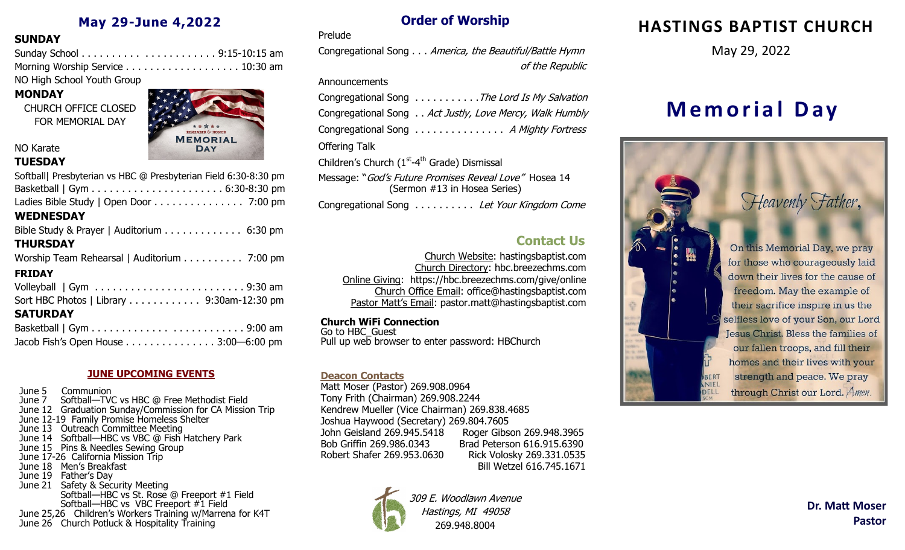# **May 29-June 4,2022**

### **SUNDAY**

| NO Usels Calcard Vacable Concrete |  |
|-----------------------------------|--|

NO High School Youth Group

# **MONDAY**

CHURCH OFFICE CLOSED FOR MEMORIAL DAY



# NO Karate

# **TUESDAY**

| Softball  Presbyterian vs HBC @ Presbyterian Field 6:30-8:30 pm         |
|-------------------------------------------------------------------------|
|                                                                         |
| Ladies Bible Study   Open Door 7:00 pm                                  |
| <b>WEDNESDAY</b>                                                        |
| Bible Study & Prayer   Auditorium $\ldots \ldots \ldots \ldots$ 6:30 pm |
| <b>THURSDAY</b>                                                         |
| Worship Team Rehearsal   Auditorium 7:00 pm                             |
| <b>FRIDAY</b>                                                           |
|                                                                         |
| Sort HBC Photos   Library 9:30am-12:30 pm                               |
| <b>SATURDAY</b>                                                         |
|                                                                         |

#### **JUNE UPCOMING EVENTS**

Jacob Fish's Open House . . . . . . . . . . . . . . . 3:00—6:00 pm

June 5 Communion June 7 Softball—TVC vs HBC @ Free Methodist Field June 12 Graduation Sunday/Commission for CA Mission Trip June 12-19 Family Promise Homeless Shelter June 13 Outreach Committee Meeting June 14 Softball—HBC vs VBC @ Fish Hatchery Park June 15 Pins & Needles Sewing Group June 17-26 California Mission Trip June 18 Men's Breakfast June 19 Father's Day June 21 Safety & Security Meeting Softball—HBC vs St. Rose @ Freeport #1 Field Softball—HBC vs VBC Freeport #1 Field June 25,26 Children's Workers Training w/Marrena for K4T June 26 Church Potluck & Hospitality Training

# **Order of Worship**

#### Prelude

Congregational Song . . . America, the Beautiful/Battle Hymn of the Republic

#### **Announcements**

|                                                                      | Congregational Song The Lord Is My Salvation            |
|----------------------------------------------------------------------|---------------------------------------------------------|
|                                                                      | Congregational Song Act Justly, Love Mercy, Walk Humbly |
|                                                                      | Congregational Song  A Mighty Fortress                  |
| Offering Talk                                                        |                                                         |
| Children's Church (1 <sup>st</sup> -4 <sup>th</sup> Grade) Dismissal |                                                         |
|                                                                      | Message: "God's Future Promises Reveal Love" Hosea 14   |

(Sermon #13 in Hosea Series)

Congregational Song . . . . . . . . . . Let Your Kingdom Come

# **Contact Us**

Church Website: hastingsbaptist.com Church Directory: hbc.breezechms.com Online Giving: https://hbc.breezechms.com/give/online Church Office Email: office@hastingsbaptist.com Pastor Matt's Email: pastor.matt@hastingsbaptist.com

#### **Church WiFi Connection**

Go to HBC\_Guest Pull up web browser to enter password: HBChurch

#### **Deacon Contacts**

Matt Moser (Pastor) 269.908.0964 Tony Frith (Chairman) 269.908.2244 Kendrew Mueller (Vice Chairman) 269.838.4685 Joshua Haywood (Secretary) 269.804.7605 John Geisland 269.945.5418 Roger Gibson 269.948.3965 Bob Griffin 269.986.0343 Brad Peterson 616.915.6390 Robert Shafer 269.953.0630 Rick Volosky 269.331.0535 Bill Wetzel 616.745.1671



309 E. Woodlawn Avenue Hastings, MI 49058 269.948.8004

# **HASTINGS BAPTIST CHURCH**

May 29, 2022

# **M e m o r i a l D a y**